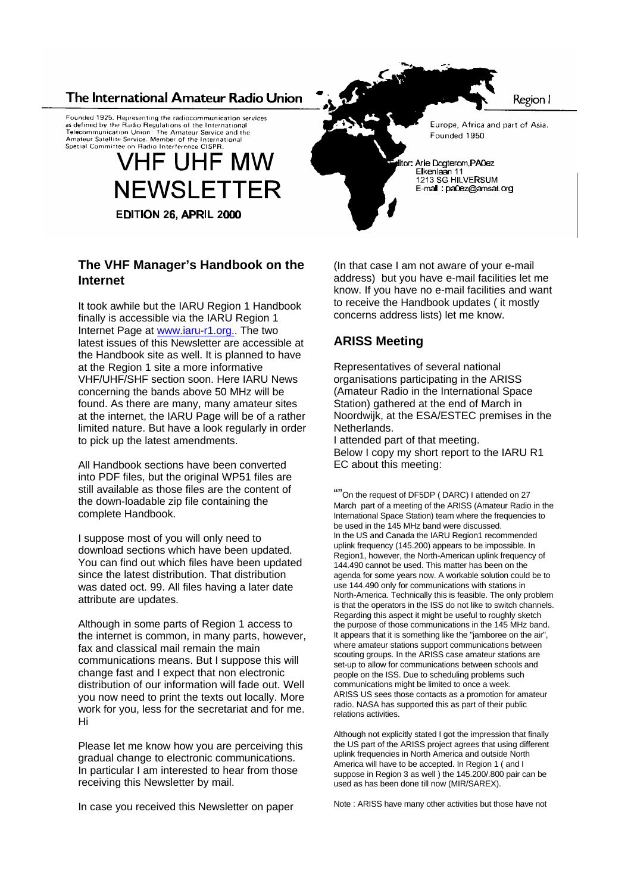#### The International Amateur Radio Union

Founded 1925. Representing the radiocommunication services<br>as defined by the Radio Regulations of the International Telecommunication Union: The Amateur Service and the Telecommunication Union: The Amateur Sandre and t<br>Amateur Satellite Service. Member of the International<br>Special Committee on Radio Interference CISPR.

## **VHF UHF MW NEWSLETTER EDITION 26, APRIL 2000**

# **The VHF Manager's Handbook on the**

**Internet**

It took awhile but the IARU Region 1 Handbook finally is accessible via the IARU Region 1 Internet Page at www.iaru-r1.org.. The two latest issues of this Newsletter are accessible at the Handbook site as well. It is planned to have at the Region 1 site a more informative VHF/UHF/SHF section soon. Here IARU News concerning the bands above 50 MHz will be found. As there are many, many amateur sites at the internet, the IARU Page will be of a rather limited nature. But have a look regularly in order to pick up the latest amendments.

All Handbook sections have been converted into PDF files, but the original WP51 files are still available as those files are the content of the down-loadable zip file containing the complete Handbook.

I suppose most of you will only need to download sections which have been updated. You can find out which files have been updated since the latest distribution. That distribution was dated oct. 99. All files having a later date attribute are updates.

Although in some parts of Region 1 access to the internet is common, in many parts, however, fax and classical mail remain the main communications means. But I suppose this will change fast and I expect that non electronic distribution of our information will fade out. Well you now need to print the texts out locally. More work for you, less for the secretariat and for me. Hi

Please let me know how you are perceiving this gradual change to electronic communications. In particular I am interested to hear from those receiving this Newsletter by mail.

In case you received this Newsletter on paper

(In that case I am not aware of your e-mail address) but you have e-mail facilities let me know. If you have no e-mail facilities and want to receive the Handbook updates ( it mostly concerns address lists) let me know.

#### **ARISS Meeting**

Representatives of several national organisations participating in the ARISS (Amateur Radio in the International Space Station) gathered at the end of March in Noordwijk, at the ESA/ESTEC premises in the Netherlands.

I attended part of that meeting. Below I copy my short report to the IARU R1 EC about this meeting:

""On the request of DF5DP ( DARC) I attended on 27 March part of a meeting of the ARISS (Amateur Radio in the International Space Station) team where the frequencies to be used in the 145 MHz band were discussed. In the US and Canada the IARU Region1 recommended uplink frequency (145.200) appears to be impossible. In Region1, however, the North-American uplink frequency of 144.490 cannot be used. This matter has been on the agenda for some years now. A workable solution could be to use 144.490 only for communications with stations in North-America. Technically this is feasible. The only problem is that the operators in the ISS do not like to switch channels. Regarding this aspect it might be useful to roughly sketch the purpose of those communications in the 145 MHz band. It appears that it is something like the "jamboree on the air", where amateur stations support communications between scouting groups. In the ARISS case amateur stations are set-up to allow for communications between schools and people on the ISS. Due to scheduling problems such communications might be limited to once a week. ARISS US sees those contacts as a promotion for amateur radio. NASA has supported this as part of their public relations activities.

Although not explicitly stated I got the impression that finally the US part of the ARISS project agrees that using different uplink frequencies in North America and outside North America will have to be accepted. In Region 1 ( and I suppose in Region 3 as well ) the 145.200/.800 pair can be used as has been done till now (MIR/SAREX).

Note : ARISS have many other activities but those have not

Region I

Europe, Africa and part of Asia. Founded 1950

Arie Dogterom, PA0ez Eikenlaan 11<br>1213 SG HILVERSUM E-mail: pa0ez@amsat.org